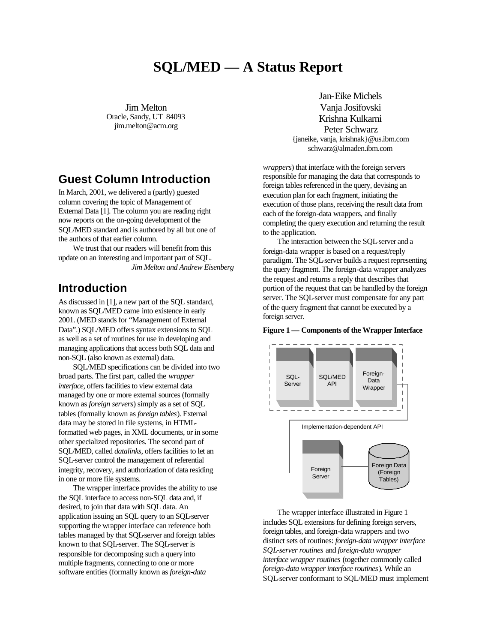# **SQL/MED — A Status Report**

Jim Melton Oracle, Sandy, UT 84093 jim.melton@acm.org

Jan-Eike Michels Vanja Josifovski Krishna Kulkarni Peter Schwarz {janeike, vanja, krishnak}@us.ibm.com schwarz@almaden.ibm.com

## **Guest Column Introduction**

In March, 2001, we delivered a (partly) guested column covering the topic of Management of External Data [1]. The column you are reading right now reports on the on-going development of the SQL/MED standard and is authored by all but one of the authors of that earlier column.

We trust that our readers will benefit from this update on an interesting and important part of SQL. *Jim Melton and Andrew Eisenberg*

## **Introduction**

As discussed in [1], a new part of the SQL standard, known as SQL/MED came into existence in early 2001. (MED stands for "Management of External Data".) SQL/MED offers syntax extensions to SQL as well as a set of routines for use in developing and managing applications that access both SQL data and non-SQL (also known as external) data.

SQL/MED specifications can be divided into two broad parts. The first part, called the *wrapper interface*, offers facilities to view external data managed by one or more external sources (formally known as *foreign servers*) simply as a set of SQL tables (formally known as *foreign tables*). External data may be stored in file systems, in HTMLformatted web pages, in XML documents, or in some other specialized repositories. The second part of SQL/MED, called *datalinks*, offers facilities to let an SQL-server control the management of referential integrity, recovery, and authorization of data residing in one or more file systems.

The wrapper interface provides the ability to use the SQL interface to access non-SQL data and, if desired, to join that data with SQL data. An application issuing an SQL query to an SQL-server supporting the wrapper interface can reference both tables managed by that SQL-server and foreign tables known to that SQL-server. The SQL-server is responsible for decomposing such a query into multiple fragments, connecting to one or more software entities (formally known as *foreign-data* 

*wrappers*) that interface with the foreign servers responsible for managing the data that corresponds to foreign tables referenced in the query, devising an execution plan for each fragment, initiating the execution of those plans, receiving the result data from each of the foreign-data wrappers, and finally completing the query execution and returning the result to the application.

The interaction between the SQL-server and a foreign-data wrapper is based on a request/reply paradigm. The SQL-server builds a request representing the query fragment. The foreign-data wrapper analyzes the request and returns a reply that describes that portion of the request that can be handled by the foreign server. The SQL-server must compensate for any part of the query fragment that cannot be executed by a foreign server.

### **Figure 1 — Components of the Wrapper Interface**



The wrapper interface illustrated in Figure 1 includes SQL extensions for defining foreign servers, foreign tables, and foreign-data wrappers and two distinct sets of routines: *foreign-data wrapper interface SQL-server routines* and *foreign-data wrapper interface wrapper routines* (together commonly called *foreign-data wrapper interface routines*). While an SQL-server conformant to SQL/MED must implement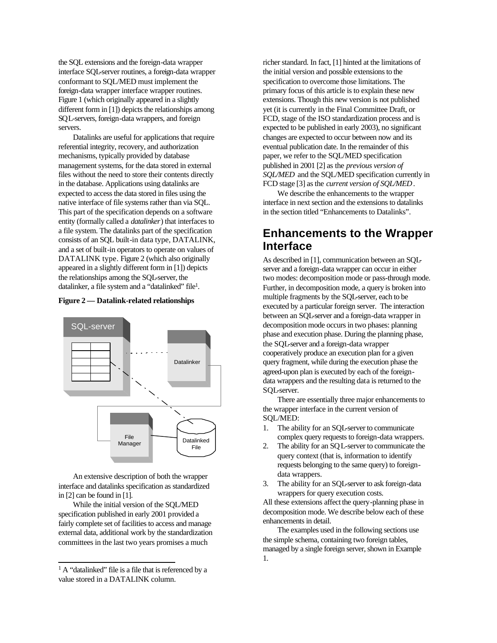the SQL extensions and the foreign-data wrapper interface SQL-server routines, a foreign-data wrapper conformant to SQL/MED must implement the foreign-data wrapper interface wrapper routines. Figure 1 (which originally appeared in a slightly different form in [1]) depicts the relationships among SQL-servers, foreign-data wrappers, and foreign servers.

Datalinks are useful for applications that require referential integrity, recovery, and authorization mechanisms, typically provided by database management systems, for the data stored in external files without the need to store their contents directly in the database. Applications using datalinks are expected to access the data stored in files using the native interface of file systems rather than via SQL. This part of the specification depends on a software entity (formally called a *datalinker*) that interfaces to a file system. The datalinks part of the specification consists of an SQL built-in data type, DATALINK, and a set of built-in operators to operate on values of DATALINK type. Figure 2 (which also originally appeared in a slightly different form in [1]) depicts the relationships among the SQL-server, the datalinker, a file system and a "datalinked" file<sup>1</sup>.





An extensive description of both the wrapper interface and datalinks specification as standardized in [2] can be found in [1].

While the initial version of the SQL/MED specification published in early 2001 provided a fairly complete set of facilities to access and manage external data, additional work by the standardization committees in the last two years promises a much

ı

richer standard. In fact, [1] hinted at the limitations of the initial version and possible extensions to the specification to overcome those limitations. The primary focus of this article is to explain these new extensions. Though this new version is not published yet (it is currently in the Final Committee Draft, or FCD, stage of the ISO standardization process and is expected to be published in early 2003), no significant changes are expected to occur between now and its eventual publication date. In the remainder of this paper, we refer to the SQL/MED specification published in 2001 [2] as the *previous version of SQL/MED* and the SQL/MED specification currently in FCD stage [3] as the *current version of SQL/MED*.

We describe the enhancements to the wrapper interface in next section and the extensions to datalinks in the section titled "Enhancements to Datalinks".

## **Enhancements to the Wrapper Interface**

As described in [1], communication between an SQLserver and a foreign-data wrapper can occur in either two modes: decomposition mode or pass-through mode. Further, in decomposition mode, a query is broken into multiple fragments by the SQL-server, each to be executed by a particular foreign server. The interaction between an SQL-server and a foreign-data wrapper in decomposition mode occurs in two phases: planning phase and execution phase. During the planning phase, the SQL-server and a foreign-data wrapper cooperatively produce an execution plan for a given query fragment, while during the execution phase the agreed-upon plan is executed by each of the foreigndata wrappers and the resulting data is returned to the SQL-server.

There are essentially three major enhancements to the wrapper interface in the current version of SQL/MED:

- 1. The ability for an SQL-server to communicate complex query requests to foreign-data wrappers.
- 2. The ability for an SQL-server to communicate the query context (that is, information to identify requests belonging to the same query) to foreigndata wrappers.
- 3. The ability for an SQL-server to ask foreign-data wrappers for query execution costs.

All these extensions affect the query-planning phase in decomposition mode. We describe below each of these enhancements in detail.

The examples used in the following sections use the simple schema, containing two foreign tables, managed by a single foreign server, shown in Example 1.

<sup>&</sup>lt;sup>1</sup> A "datalinked" file is a file that is referenced by a value stored in a DATALINK column.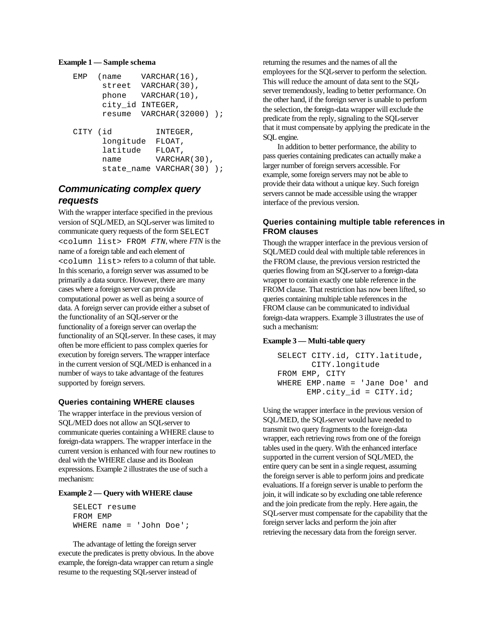#### **Example 1 — Sample schema**

```
EMP (name VARCHAR(16),
     street VARCHAR(30),
      phone VARCHAR(10),
      city_id INTEGER,
      resume VARCHAR(32000) );
CITY (id INTEGER,
      longitude FLOAT,
      latitude FLOAT,
     name VARCHAR(30),
     state_name VARCHAR(30) );
```
### *Communicating complex query requests*

With the wrapper interface specified in the previous version of SQL/MED, an SQL-server was limited to communicate query requests of the form SELECT <column list> FROM *FTN*, where *FTN* is the name of a foreign table and each element of <column list> refers to a column of that table. In this scenario, a foreign server was assumed to be primarily a data source. However, there are many cases where a foreign server can provide computational power as well as being a source of data. A foreign server can provide either a subset of the functionality of an SQL-server or the functionality of a foreign server can overlap the functionality of an SQL-server. In these cases, it may often be more efficient to pass complex queries for execution by foreign servers. The wrapper interface in the current version of SQL/MED is enhanced in a number of ways to take advantage of the features supported by foreign servers.

### **Queries containing WHERE clauses**

The wrapper interface in the previous version of SQL/MED does not allow an SQL-server to communicate queries containing a WHERE clause to foreign-data wrappers. The wrapper interface in the current version is enhanced with four new routines to deal with the WHERE clause and its Boolean expressions. Example 2 illustrates the use of such a mechanism:

#### **Example 2 — Query with WHERE clause**

SELECT resume FROM EMP WHERE name  $=$  'John Doe';

The advantage of letting the foreign server execute the predicates is pretty obvious. In the above example, the foreign-data wrapper can return a single resume to the requesting SQL-server instead of

returning the resumes and the names of all the employees for the SQL-server to perform the selection. This will reduce the amount of data sent to the SQLserver tremendously, leading to better performance. On the other hand, if the foreign server is unable to perform the selection, the foreign-data wrapper will exclude the predicate from the reply, signaling to the SQL-server that it must compensate by applying the predicate in the SQL engine.

In addition to better performance, the ability to pass queries containing predicates can actually make a larger number of foreign servers accessible. For example, some foreign servers may not be able to provide their data without a unique key. Such foreign servers cannot be made accessible using the wrapper interface of the previous version.

### **Queries containing multiple table references in FROM clauses**

Though the wrapper interface in the previous version of SQL/MED could deal with multiple table references in the FROM clause, the previous version restricted the queries flowing from an SQL-server to a foreign-data wrapper to contain exactly one table reference in the FROM clause. That restriction has now been lifted, so queries containing multiple table references in the FROM clause can be communicated to individual foreign-data wrappers. Example 3 illustrates the use of such a mechanism:

#### **Example 3 — Multi-table query**

```
SELECT CITY.id, CITY.latitude,
        CITY.longitude
FROM EMP, CITY
WHERE EMP.name = 'Jane Doe' and
      EMP.city id = CITY.id;
```
Using the wrapper interface in the previous version of SQL/MED, the SQL-server would have needed to transmit two query fragments to the foreign-data wrapper, each retrieving rows from one of the foreign tables used in the query. With the enhanced interface supported in the current version of SQL/MED, the entire query can be sent in a single request, assuming the foreign server is able to perform joins and predicate evaluations. If a foreign server is unable to perform the join, it will indicate so by excluding one table reference and the join predicate from the reply. Here again, the SQL-server must compensate for the capability that the foreign server lacks and perform the join after retrieving the necessary data from the foreign server.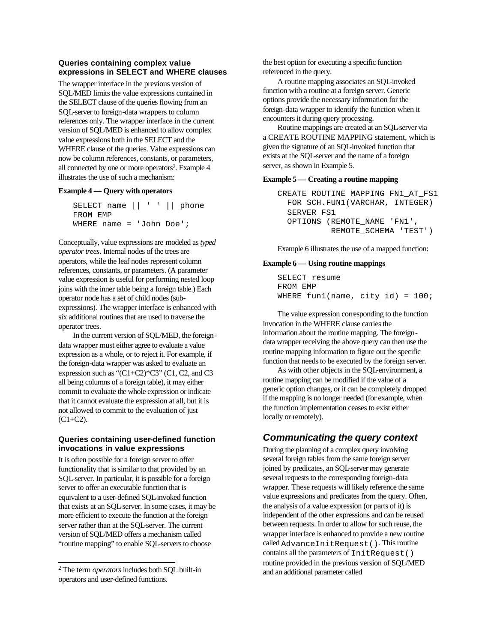### **Queries containing complex value expressions in SELECT and WHERE clauses**

The wrapper interface in the previous version of SQL/MED limits the value expressions contained in the SELECT clause of the queries flowing from an SQL-server to foreign-data wrappers to column references only. The wrapper interface in the current version of SQL/MED is enhanced to allow complex value expressions both in the SELECT and the WHERE clause of the queries. Value expressions can now be column references, constants, or parameters, all connected by one or more operators<sup>2</sup>. Example 4 illustrates the use of such a mechanism:

### **Example 4 — Query with operators**

```
SELECT name || ' ' || phone
FROM EMP
WHERE name = 'John Doe';
```
Conceptually, value expressions are modeled as *typed operator trees*. Internal nodes of the trees are operators, while the leaf nodes represent column references, constants, or parameters. (A parameter value expression is useful for performing nested loop joins with the inner table being a foreign table.) Each operator node has a set of child nodes (subexpressions). The wrapper interface is enhanced with six additional routines that are used to traverse the operator trees.

In the current version of SQL/MED, the foreigndata wrapper must either agree to evaluate a value expression as a whole, or to reject it. For example, if the foreign-data wrapper was asked to evaluate an expression such as " $(C1+C2)$ \* $C3$ "  $(C1, C2, and C3$ all being columns of a foreign table), it may either commit to evaluate the whole expression or indicate that it cannot evaluate the expression at all, but it is not allowed to commit to the evaluation of just  $(C1+C2)$ .

### **Queries containing user-defined function invocations in value expressions**

It is often possible for a foreign server to offer functionality that is similar to that provided by an SQL-server. In particular, it is possible for a foreign server to offer an executable function that is equivalent to a user-defined SQL-invoked function that exists at an SQL-server. In some cases, it may be more efficient to execute the function at the foreign server rather than at the SQL-server. The current version of SQL/MED offers a mechanism called "routine mapping" to enable SQL-servers to choose

ı

the best option for executing a specific function referenced in the query.

A routine mapping associates an SQL-invoked function with a routine at a foreign server. Generic options provide the necessary information for the foreign-data wrapper to identify the function when it encounters it during query processing.

Routine mappings are created at an SQL-server via a CREATE ROUTINE MAPPING statement, which is given the signature of an SQL-invoked function that exists at the SQL-server and the name of a foreign server, as shown in Example 5.

### **Example 5 — Creating a routine mapping**

```
CREATE ROUTINE MAPPING FN1_AT_FS1
  FOR SCH.FUN1(VARCHAR, INTEGER)
   SERVER FS1
   OPTIONS (REMOTE_NAME 'FN1',
            REMOTE_SCHEMA 'TEST')
```
Example 6 illustrates the use of a mapped function:

### **Example 6 — Using routine mappings**

```
SELECT resume
FROM EMP
WHERE fun1(name, city_id) = 100;
```
The value expression corresponding to the function invocation in the WHERE clause carries the information about the routine mapping. The foreigndata wrapper receiving the above query can then use the routine mapping information to figure out the specific function that needs to be executed by the foreign server.

As with other objects in the SQL-environment, a routine mapping can be modified if the value of a generic option changes, or it can be completely dropped if the mapping is no longer needed (for example, when the function implementation ceases to exist either locally or remotely).

### *Communicating the query context*

During the planning of a complex query involving several foreign tables from the same foreign server joined by predicates, an SQL-server may generate several requests to the corresponding foreign-data wrapper. These requests will likely reference the same value expressions and predicates from the query. Often, the analysis of a value expression (or parts of it) is independent of the other expressions and can be reused between requests. In order to allow for such reuse, the wrapper interface is enhanced to provide a new routine called AdvanceInitRequest(). This routine contains all the parameters of InitRequest() routine provided in the previous version of SQL/MED and an additional parameter called

<sup>2</sup> The term *operators* includes both SQL built-in operators and user-defined functions.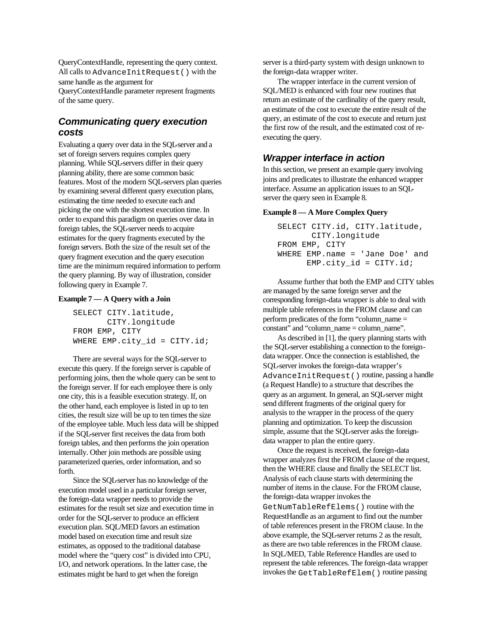QueryContextHandle, representing the query context. All calls to AdvanceInitRequest() with the same handle as the argument for QueryContextHandle parameter represent fragments of the same query.

### *Communicating query execution costs*

Evaluating a query over data in the SQL-server and a set of foreign servers requires complex query planning. While SQL-servers differ in their query planning ability, there are some common basic features. Most of the modern SQL-servers plan queries by examining several different query execution plans, estimating the time needed to execute each and picking the one with the shortest execution time. In order to expand this paradigm on queries over data in foreign tables, the SQL-server needs to acquire estimates for the query fragments executed by the foreign servers. Both the size of the result set of the query fragment execution and the query execution time are the minimum required information to perform the query planning. By way of illustration, consider following query in Example 7.

### **Example 7 — A Query with a Join**

SELECT CITY.latitude, CITY.longitude FROM EMP, CITY WHERE EMP.city id = CITY.id;

There are several ways for the SQL-server to execute this query. If the foreign server is capable of performing joins, then the whole query can be sent to the foreign server. If for each employee there is only one city, this is a feasible execution strategy. If, on the other hand, each employee is listed in up to ten cities, the result size will be up to ten times the size of the employee table. Much less data will be shipped if the SQL-server first receives the data from both foreign tables, and then performs the join operation internally. Other join methods are possible using parameterized queries, order information, and so forth.

Since the SQL-server has no knowledge of the execution model used in a particular foreign server, the foreign-data wrapper needs to provide the estimates for the result set size and execution time in order for the SQL-server to produce an efficient execution plan. SQL/MED favors an estimation model based on execution time and result size estimates, as opposed to the traditional database model where the "query cost" is divided into CPU, I/O, and network operations. In the latter case, the estimates might be hard to get when the foreign

server is a third-party system with design unknown to the foreign-data wrapper writer.

The wrapper interface in the current version of SQL/MED is enhanced with four new routines that return an estimate of the cardinality of the query result, an estimate of the cost to execute the entire result of the query, an estimate of the cost to execute and return just the first row of the result, and the estimated cost of reexecuting the query.

### *Wrapper interface in action*

In this section, we present an example query involving joins and predicates to illustrate the enhanced wrapper interface. Assume an application issues to an SQLserver the query seen in Example 8.

### **Example 8 — A More Complex Query**

SELECT CITY.id, CITY.latitude, CITY.longitude FROM EMP, CITY WHERE EMP.name = 'Jane Doe' and  $EMP.city$  id = CITY.id;

Assume further that both the EMP and CITY tables are managed by the same foreign server and the corresponding foreign-data wrapper is able to deal with multiple table references in the FROM clause and can perform predicates of the form "column\_name = constant" and "column\_name = column\_name".

As described in [1], the query planning starts with the SQL-server establishing a connection to the foreigndata wrapper. Once the connection is established, the SQL-server invokes the foreign-data wrapper's AdvanceInitRequest() routine, passing a handle (a Request Handle) to a structure that describes the query as an argument. In general, an SQL-server might send different fragments of the original query for analysis to the wrapper in the process of the query planning and optimization. To keep the discussion simple, assume that the SQL-server asks the foreigndata wrapper to plan the entire query.

Once the request is received, the foreign-data wrapper analyzes first the FROM clause of the request, then the WHERE clause and finally the SELECT list. Analysis of each clause starts with determining the number of items in the clause. For the FROM clause, the foreign-data wrapper invokes the GetNumTableRefElems() routine with the RequestHandle as an argument to find out the number of table references present in the FROM clause. In the above example, the SQL-server returns 2 as the result, as there are two table references in the FROM clause. In SQL/MED, Table Reference Handles are used to represent the table references. The foreign-data wrapper invokes the GetTableRefElem() routine passing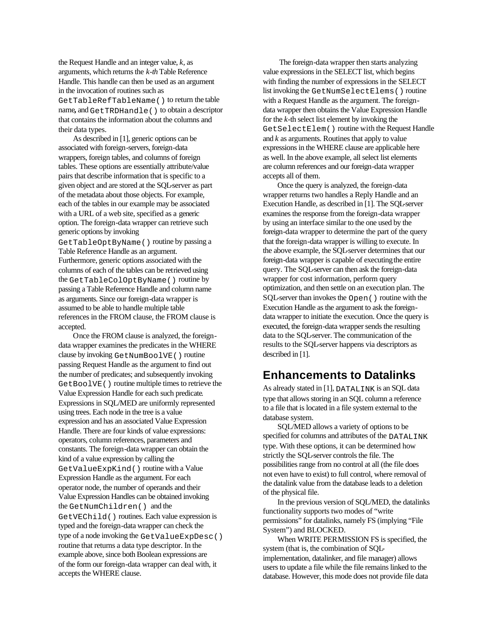the Request Handle and an integer value, *k*, as arguments, which returns the *k-th* Table Reference Handle. This handle can then be used as an argument in the invocation of routines such as GetTableRefTableName() to return the table name**,** and GetTRDHandle() to obtain a descriptor that contains the information about the columns and their data types.

As described in [1], generic options can be associated with foreign-servers, foreign-data wrappers, foreign tables, and columns of foreign tables. These options are essentially attribute/value pairs that describe information that is specific to a given object and are stored at the SQL-server as part of the metadata about those objects. For example, each of the tables in our example may be associated with a URL of a web site, specified as a generic option. The foreign-data wrapper can retrieve such generic options by invoking

GetTableOptByName() routine by passing a Table Reference Handle as an argument. Furthermore, generic options associated with the columns of each of the tables can be retrieved using the GetTableColOptByName() routine by passing a Table Reference Handle and column name as arguments. Since our foreign-data wrapper is assumed to be able to handle multiple table references in the FROM clause, the FROM clause is accepted.

Once the FROM clause is analyzed, the foreigndata wrapper examines the predicates in the WHERE clause by invoking GetNumBoolVE() routine passing Request Handle as the argument to find out the number of predicates; and subsequently invoking GetBoolVE() routine multiple times to retrieve the Value Expression Handle for each such predicate. Expressions in SQL/MED are uniformly represented using trees. Each node in the tree is a value expression and has an associated Value Expression Handle. There are four kinds of value expressions: operators, column references, parameters and constants. The foreign-data wrapper can obtain the kind of a value expression by calling the GetValueExpKind() routine with a Value Expression Handle as the argument. For each operator node, the number of operands and their Value Expression Handles can be obtained invoking the GetNumChildren() and the GetVEChild() routines. Each value expression is typed and the foreign-data wrapper can check the type of a node invoking the GetValueExpDesc() routine that returns a data type descriptor. In the example above, since both Boolean expressions are of the form our foreign-data wrapper can deal with, it accepts the WHERE clause.

 The foreign-data wrapper then starts analyzing value expressions in the SELECT list, which begins with finding the number of expressions in the SELECT list invoking the GetNumSelectElems() routine with a Request Handle as the argument. The foreigndata wrapper then obtains the Value Expression Handle for the *k*-th select list element by invoking the GetSelectElem() routine with the Request Handle and *k* as arguments. Routines that apply to value expressions in the WHERE clause are applicable here as well. In the above example, all select list elements are column references and our foreign-data wrapper accepts all of them.

Once the query is analyzed, the foreign-data wrapper returns two handles a Reply Handle and an Execution Handle, as described in [1]. The SQL-server examines the response from the foreign-data wrapper by using an interface similar to the one used by the foreign-data wrapper to determine the part of the query that the foreign-data wrapper is willing to execute. In the above example, the SQL-server determines that our foreign-data wrapper is capable of executing the entire query. The SQL-server can then ask the foreign-data wrapper for cost information, perform query optimization, and then settle on an execution plan. The SQL-server than invokes the Open() routine with the Execution Handle as the argument to ask the foreigndata wrapper to initiate the execution. Once the query is executed, the foreign-data wrapper sends the resulting data to the SQL-server. The communication of the results to the SQL-server happens via descriptors as described in [1].

## **Enhancements to Datalinks**

As already stated in [1], DATALINK is an SQL data type that allows storing in an SQL column a reference to a file that is located in a file system external to the database system.

SQL/MED allows a variety of options to be specified for columns and attributes of the DATALINK type. With these options, it can be determined how strictly the SQL-server controls the file. The possibilities range from no control at all (the file does not even have to exist) to full control, where removal of the datalink value from the database leads to a deletion of the physical file.

In the previous version of SQL/MED, the datalinks functionality supports two modes of "write permissions" for datalinks, namely FS (implying "File System") and BLOCKED.

When WRITE PERMISSION FS is specified, the system (that is, the combination of SQLimplementation, datalinker, and file manager) allows users to update a file while the file remains linked to the database. However, this mode does not provide file data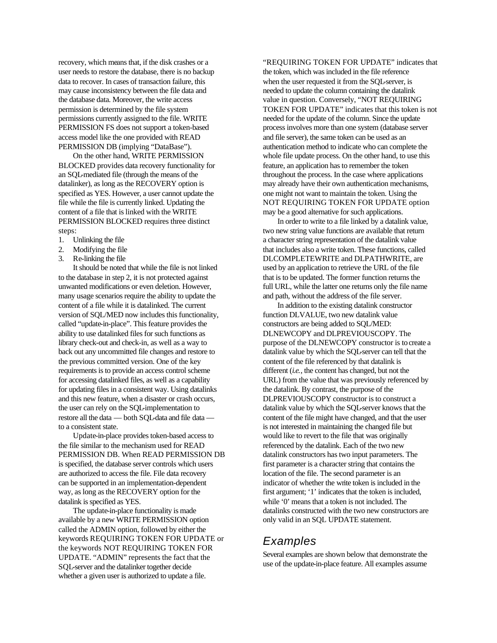recovery, which means that, if the disk crashes or a user needs to restore the database, there is no backup data to recover. In cases of transaction failure, this may cause inconsistency between the file data and the database data. Moreover, the write access permission is determined by the file system permissions currently assigned to the file. WRITE PERMISSION FS does not support a token-based access model like the one provided with READ PERMISSION DB (implying "DataBase").

On the other hand, WRITE PERMISSION BLOCKED provides data recovery functionality for an SQL-mediated file (through the means of the datalinker), as long as the RECOVERY option is specified as YES. However, a user cannot update the file while the file is currently linked. Updating the content of a file that is linked with the WRITE PERMISSION BLOCKED requires three distinct steps:

- 1. Unlinking the file
- 2. Modifying the file
- 3. Re-linking the file

It should be noted that while the file is not linked to the database in step 2, it is not protected against unwanted modifications or even deletion. However, many usage scenarios require the ability to update the content of a file while it is datalinked. The current version of SQL/MED now includes this functionality, called "update-in-place". This feature provides the ability to use datalinked files for such functions as library check-out and check-in, as well as a way to back out any uncommitted file changes and restore to the previous committed version. One of the key requirements is to provide an access control scheme for accessing datalinked files, as well as a capability for updating files in a consistent way. Using datalinks and this new feature, when a disaster or crash occurs, the user can rely on the SQL-implementation to restore all the data — both SQL-data and file data to a consistent state.

Update-in-place provides token-based access to the file similar to the mechanism used for READ PERMISSION DB. When READ PERMISSION DB is specified, the database server controls which users are authorized to access the file. File data recovery can be supported in an implementation-dependent way, as long as the RECOVERY option for the datalink is specified as YES.

The update-in-place functionality is made available by a new WRITE PERMISSION option called the ADMIN option, followed by either the keywords REQUIRING TOKEN FOR UPDATE or the keywords NOT REQUIRING TOKEN FOR UPDATE. "ADMIN" represents the fact that the SQL-server and the datalinker together decide whether a given user is authorized to update a file.

"REQUIRING TOKEN FOR UPDATE" indicates that the token, which was included in the file reference when the user requested it from the SQL-server, is needed to update the column containing the datalink value in question. Conversely, "NOT REQUIRING TOKEN FOR UPDATE" indicates that this token is not needed for the update of the column. Since the update process involves more than one system (database server and file server), the same token can be used as an authentication method to indicate who can complete the whole file update process. On the other hand, to use this feature, an application has to remember the token throughout the process. In the case where applications may already have their own authentication mechanisms, one might not want to maintain the token. Using the NOT REQUIRING TOKEN FOR UPDATE option may be a good alternative for such applications.

In order to write to a file linked by a datalink value, two new string value functions are available that return a character string representation of the datalink value that includes also a write token. These functions, called DLCOMPLETEWRITE and DLPATHWRITE, are used by an application to retrieve the URL of the file that is to be updated. The former function returns the full URL, while the latter one returns only the file name and path, without the address of the file server.

In addition to the existing datalink constructor function DLVALUE, two new datalink value constructors are being added to SQL/MED: DLNEWCOPY and DLPREVIOUSCOPY. The purpose of the DLNEWCOPY constructor is to create a datalink value by which the SQL-server can tell that the content of the file referenced by that datalink is different (*i.e.*, the content has changed, but not the URL) from the value that was previously referenced by the datalink. By contrast, the purpose of the DLPREVIOUSCOPY constructor is to construct a datalink value by which the SQL-server knows that the content of the file might have changed, and that the user is not interested in maintaining the changed file but would like to revert to the file that was originally referenced by the datalink. Each of the two new datalink constructors has two input parameters. The first parameter is a character string that contains the location of the file. The second parameter is an indicator of whether the write token is included in the first argument; '1' indicates that the token is included, while '0' means that a token is not included. The datalinks constructed with the two new constructors are only valid in an SQL UPDATE statement.

## *Examples*

Several examples are shown below that demonstrate the use of the update-in-place feature. All examples assume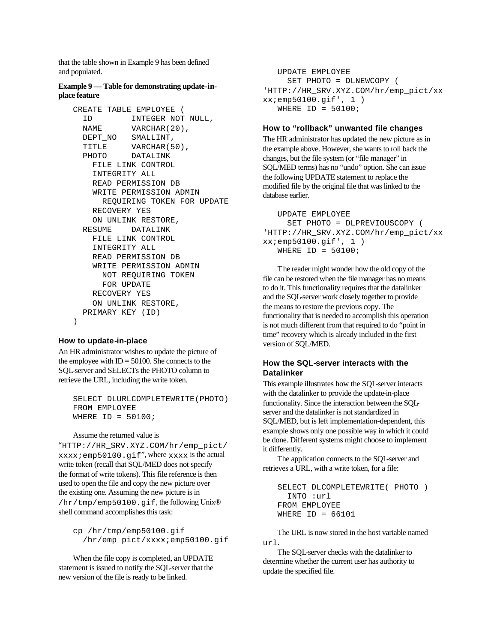that the table shown in Example 9 has been defined and populated.

### **Example 9 — Table for demonstrating update-inplace feature**

```
CREATE TABLE EMPLOYEE (
  ID INTEGER NOT NULL,
 NAME VARCHAR(20),
 DEPT NO SMALLINT,
 TITLE VARCHAR(50),
  PHOTO DATALINK
    FILE LINK CONTROL
    INTEGRITY ALL
    READ PERMISSION DB 
    WRITE PERMISSION ADMIN
      REQUIRING TOKEN FOR UPDATE
    RECOVERY YES
    ON UNLINK RESTORE,
  RESUME DATALINK
    FILE LINK CONTROL
    INTEGRITY ALL
    READ PERMISSION DB
    WRITE PERMISSION ADMIN
      NOT REQUIRING TOKEN
      FOR UPDATE
    RECOVERY YES
    ON UNLINK RESTORE,
   PRIMARY KEY (ID)
)
```
#### **How to update-in-place**

An HR administrator wishes to update the picture of the employee with  $ID = 50100$ . She connects to the SQL-server and SELECTs the PHOTO column to retrieve the URL, including the write token.

SELECT DLURLCOMPLETEWRITE(PHOTO) FROM EMPLOYEE WHERE ID =  $50100$ ;

Assume the returned value is

"HTTP://HR\_SRV.XYZ.COM/hr/emp\_pict/  $xxxxx$ ; emp50100.gif", where  $xxxx$  is the actual write token (recall that SQL/MED does not specify the format of write tokens). This file reference is then used to open the file and copy the new picture over the existing one. Assuming the new picture is in /hr/tmp/emp50100.gif, the following Unix® shell command accomplishes this task:

```
cp /hr/tmp/emp50100.gif
   /hr/emp_pict/xxxx;emp50100.gif
```
When the file copy is completed, an UPDATE statement is issued to notify the SQL-server that the new version of the file is ready to be linked.

UPDATE EMPLOYEE SET PHOTO = DLNEWCOPY ( 'HTTP://HR\_SRV.XYZ.COM/hr/emp\_pict/xx xx;emp50100.gif', 1 ) WHERE ID =  $50100$ ;

### **How to "rollback" unwanted file changes**

The HR administrator has updated the new picture as in the example above. However, she wants to roll back the changes, but the file system (or "file manager" in SQL/MED terms) has no "undo" option. She can issue the following UPDATE statement to replace the modified file by the original file that was linked to the database earlier.

UPDATE EMPLOYEE SET PHOTO = DLPREVIOUSCOPY ( 'HTTP://HR\_SRV.XYZ.COM/hr/emp\_pict/xx xx;emp50100.gif', 1 ) WHERE  $ID = 50100;$ 

The reader might wonder how the old copy of the file can be restored when the file manager has no means to do it. This functionality requires that the datalinker and the SQL-server work closely together to provide the means to restore the previous copy. The functionality that is needed to accomplish this operation is not much different from that required to do "point in time" recovery which is already included in the first version of SQL/MED.

### **How the SQL-server interacts with the Datalinker**

This example illustrates how the SQL-server interacts with the datalinker to provide the update-in-place functionality. Since the interaction between the SQLserver and the datalinker is not standardized in SQL/MED, but is left implementation-dependent, this example shows only one possible way in which it could be done. Different systems might choose to implement it differently.

The application connects to the SQL-server and retrieves a URL, with a write token, for a file:

```
SELECT DLCOMPLETEWRITE( PHOTO )
   INTO :url
FROM EMPLOYEE
WHERE ID = 66101
```
The URL is now stored in the host variable named url.

The SQL-server checks with the datalinker to determine whether the current user has authority to update the specified file.